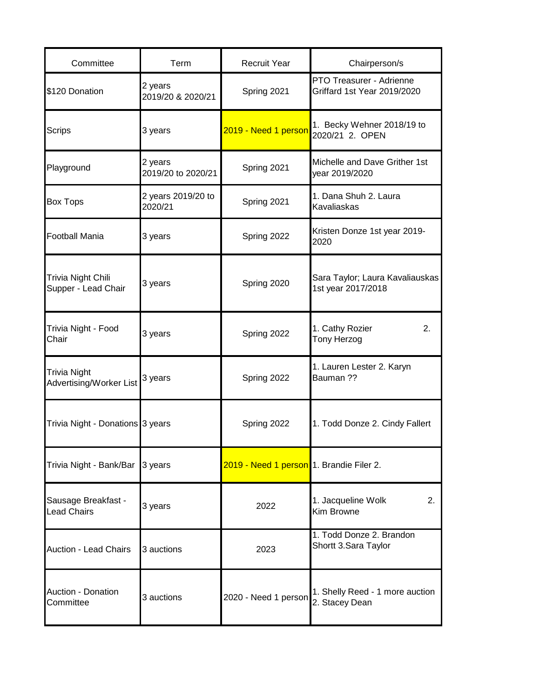| Committee                                      | Term                          | <b>Recruit Year</b>                      | Chairperson/s                                           |
|------------------------------------------------|-------------------------------|------------------------------------------|---------------------------------------------------------|
| \$120 Donation                                 | 2 years<br>2019/20 & 2020/21  | Spring 2021                              | PTO Treasurer - Adrienne<br>Griffard 1st Year 2019/2020 |
| Scrips                                         | 3 years                       | 2019 - Need 1 person                     | 1. Becky Wehner 2018/19 to<br>2020/21 2. OPEN           |
| Playground                                     | 2 years<br>2019/20 to 2020/21 | Spring 2021                              | Michelle and Dave Grither 1st<br>year 2019/2020         |
| <b>Box Tops</b>                                | 2 years 2019/20 to<br>2020/21 | Spring 2021                              | 1. Dana Shuh 2. Laura<br>Kavaliaskas                    |
| <b>Football Mania</b>                          | 3 years                       | Spring 2022                              | Kristen Donze 1st year 2019-<br>2020                    |
| Trivia Night Chili<br>Supper - Lead Chair      | 3 years                       | Spring 2020                              | Sara Taylor; Laura Kavaliauskas<br>1st year 2017/2018   |
| Trivia Night - Food<br>Chair                   | 3 years                       | Spring 2022                              | 1. Cathy Rozier<br>2.<br>Tony Herzog                    |
| <b>Trivia Night</b><br>Advertising/Worker List | 3 years                       | Spring 2022                              | 1. Lauren Lester 2. Karyn<br>Bauman ??                  |
| Trivia Night - Donations 3 years               |                               | Spring 2022                              | 1. Todd Donze 2. Cindy Fallert                          |
| Trivia Night - Bank/Bar 3 years                |                               | 2019 - Need 1 person 1. Brandie Filer 2. |                                                         |
| Sausage Breakfast -<br><b>Lead Chairs</b>      | 3 years                       | 2022                                     | 1. Jacqueline Wolk<br>2.<br>Kim Browne                  |
| <b>Auction - Lead Chairs</b>                   | 3 auctions                    | 2023                                     | 1. Todd Donze 2. Brandon<br>Shortt 3.Sara Taylor        |
| <b>Auction - Donation</b><br>Committee         | 3 auctions                    | 2020 - Need 1 person                     | 1. Shelly Reed - 1 more auction<br>2. Stacey Dean       |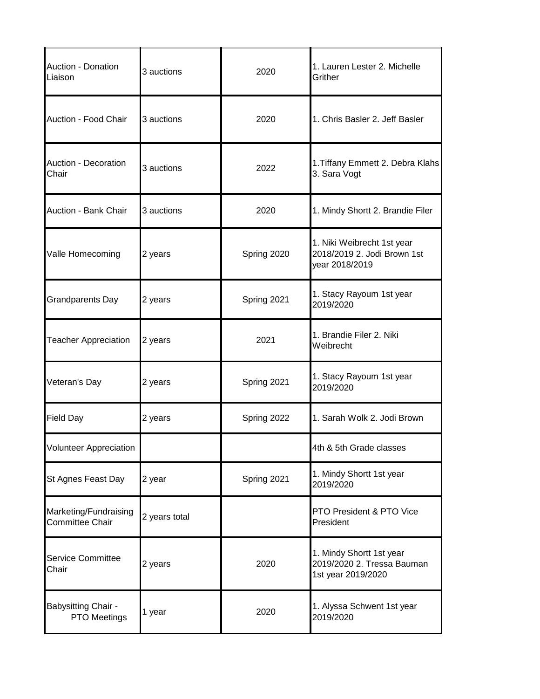| Auction - Donation<br>Liaison                   | 3 auctions    | 2020        | 1. Lauren Lester 2. Michelle<br>Grither                                      |
|-------------------------------------------------|---------------|-------------|------------------------------------------------------------------------------|
| Auction - Food Chair                            | 3 auctions    | 2020        | 1. Chris Basler 2. Jeff Basler                                               |
| Auction - Decoration<br>Chair                   | 3 auctions    | 2022        | 1. Tiffany Emmett 2. Debra Klahs<br>3. Sara Vogt                             |
| Auction - Bank Chair                            | 3 auctions    | 2020        | 1. Mindy Shortt 2. Brandie Filer                                             |
| Valle Homecoming                                | 2 years       | Spring 2020 | 1. Niki Weibrecht 1st year<br>2018/2019 2. Jodi Brown 1st<br>year 2018/2019  |
| <b>Grandparents Day</b>                         | 2 years       | Spring 2021 | 1. Stacy Rayoum 1st year<br>2019/2020                                        |
| <b>Teacher Appreciation</b>                     | 2 years       | 2021        | 1. Brandie Filer 2. Niki<br>Weibrecht                                        |
| Veteran's Day                                   | 2 years       | Spring 2021 | 1. Stacy Rayoum 1st year<br>2019/2020                                        |
| <b>Field Day</b>                                | 2 years       | Spring 2022 | 1. Sarah Wolk 2. Jodi Brown                                                  |
| <b>Volunteer Appreciation</b>                   |               |             | 4th & 5th Grade classes                                                      |
| St Agnes Feast Day                              | 2 year        | Spring 2021 | 1. Mindy Shortt 1st year<br>2019/2020                                        |
| Marketing/Fundraising<br><b>Committee Chair</b> | 2 years total |             | PTO President & PTO Vice<br>President                                        |
| Service Committee<br>Chair                      | 2 years       | 2020        | 1. Mindy Shortt 1st year<br>2019/2020 2. Tressa Bauman<br>1st year 2019/2020 |
| <b>Babysitting Chair -</b><br>PTO Meetings      | 1 year        | 2020        | 1. Alyssa Schwent 1st year<br>2019/2020                                      |